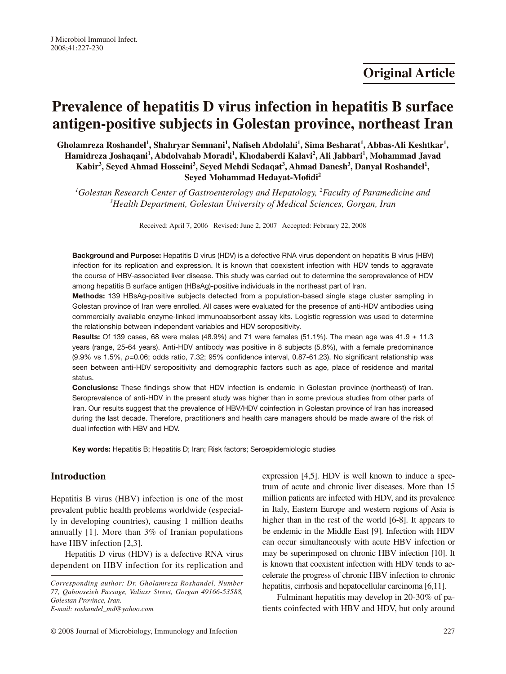# **Prevalence of hepatitis D virus infection in hepatitis B surface antigen-positive subjects in Golestan province, northeast Iran**

Gholamreza Roshandel<sup>1</sup>, Shahryar Semnani<sup>1</sup>, Nafiseh Abdolahi<sup>1</sup>, Sima Besharat<sup>1</sup>, Abbas-Ali Keshtkar<sup>1</sup>, **Hamidreza Joshaqani1 , Abdolvahab Moradi1 , Khodaberdi Kalavi2 , Ali Jabbari1 , Mohammad Javad**  Kabir<sup>3</sup>, Seyed Ahmad Hosseini<sup>3</sup>, Seyed Mehdi Sedaqat<sup>3</sup>, Ahmad Danesh<sup>3</sup>, Danyal Roshandel<sup>1</sup>, **Seyed Mohammad Hedayat-Mofidi2**

*1 Golestan Research Center of Gastroenterology and Hepatology, 2 Faculty of Paramedicine and 3 Health Department, Golestan University of Medical Sciences, Gorgan, Iran*

Received: April 7, 2006 Revised: June 2, 2007 Accepted: February 22, 2008

Background and Purpose: Hepatitis D virus (HDV) is a defective RNA virus dependent on hepatitis B virus (HBV) infection for its replication and expression. It is known that coexistent infection with HDV tends to aggravate the course of HBV-associated liver disease. This study was carried out to determine the seroprevalence of HDV among hepatitis B surface antigen (HBsAg)-positive individuals in the northeast part of Iran.

Methods: 139 HBsAg-positive subjects detected from a population-based single stage cluster sampling in Golestan province of Iran were enrolled. All cases were evaluated for the presence of anti-HDV antibodies using commercially available enzyme-linked immunoabsorbent assay kits. Logistic regression was used to determine the relationship between independent variables and HDV seropositivity.

**Results:** Of 139 cases, 68 were males (48.9%) and 71 were females (51.1%). The mean age was 41.9  $\pm$  11.3 years (range, 25-64 years). Anti-HDV antibody was positive in 8 subjects (5.8%), with a female predominance (9.9% vs 1.5%, *p*=0.06; odds ratio, 7.32; 95% confidence interval, 0.87-61.23). No significant relationship was seen between anti-HDV seropositivity and demographic factors such as age, place of residence and marital status.

Conclusions: These findings show that HDV infection is endemic in Golestan province (northeast) of Iran. Seroprevalence of anti-HDV in the present study was higher than in some previous studies from other parts of Iran. Our results suggest that the prevalence of HBV/HDV coinfection in Golestan province of Iran has increased during the last decade. Therefore, practitioners and health care managers should be made aware of the risk of dual infection with HBV and HDV.

Key words: Hepatitis B; Hepatitis D; Iran; Risk factors; Seroepidemiologic studies

## **Introduction**

Hepatitis B virus (HBV) infection is one of the most prevalent public health problems worldwide (especially in developing countries), causing 1 million deaths annually [1]. More than 3% of Iranian populations have HBV infection [2,3].

Hepatitis D virus (HDV) is a defective RNA virus dependent on HBV infection for its replication and

expression [4,5]. HDV is well known to induce a spectrum of acute and chronic liver diseases. More than 15 million patients are infected with HDV, and its prevalence in Italy, Eastern Europe and western regions of Asia is higher than in the rest of the world [6-8]. It appears to be endemic in the Middle East [9]. Infection with HDV can occur simultaneously with acute HBV infection or may be superimposed on chronic HBV infection [10]. It is known that coexistent infection with HDV tends to accelerate the progress of chronic HBV infection to chronic hepatitis, cirrhosis and hepatocellular carcinoma [6,11].

Fulminant hepatitis may develop in 20-30% of patients coinfected with HBV and HDV, but only around

*Corresponding author: Dr. Gholamreza Roshandel, Number 77, Qabooseieh Passage, Valiasr Street, Gorgan 49166-53588, Golestan Province, Iran. E-mail: roshandel\_md@yahoo.com*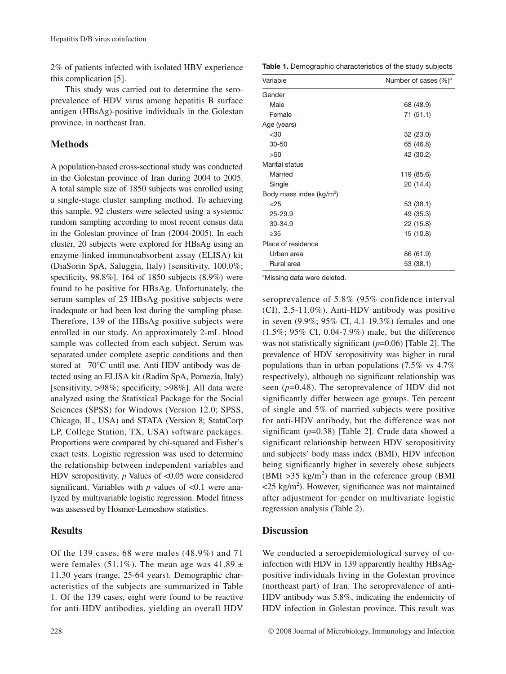2% of patients infected with isolated HBV experience this complication [5].

This study was carried out to determine the seroprevalence of HDV virus among hepatitis B surface antigen (HBsAg)-positive individuals in the Golestan province, in northeast Iran.

## **Methods**

A population-based cross-sectional study was conducted in the Golestan province of Iran during 2004 to 2005. A total sample size of 1850 subjects was enrolled using a single-stage cluster sampling method. To achieving this sample, 92 clusters were selected using a systemic random sampling according to most recent census data in the Golestan province of Iran (2004-2005). In each cluster, 20 subjects were explored for HBsAg using an enzyme-linked immunoabsorbent assay (ELISA) kit (DiaSorin SpA, Saluggia, Italy) [sensitivity, 100.0%; specificity, 98.8%]. 164 of 1850 subjects (8.9%) were found to be positive for HBsAg. Unfortunately, the serum samples of 25 HBsAg-positive subjects were inadequate or had been lost during the sampling phase. Therefore, 139 of the HBsAg-positive subjects were enrolled in our study. An approximately 2-mL blood sample was collected from each subject. Serum was separated under complete aseptic conditions and then stored at –70°C until use. Anti-HDV antibody was detected using an ELISA kit (Radim SpA, Pomezia, Italy) [sensitivity, >98%; specificity, >98%]. All data were analyzed using the Statistical Package for the Social Sciences (SPSS) for Windows (Version 12.0; SPSS, Chicago, IL, USA) and STATA (Version 8; StataCorp LP, College Station, TX, USA) software packages. Proportions were compared by chi-squared and Fisher's exact tests. Logistic regression was used to determine the relationship between independent variables and HDV seropositivity. *p* Values of <0.05 were considered significant. Variables with  $p$  values of  $\leq 0.1$  were analyzed by multivariable logistic regression. Model fitness was assessed by Hosmer-Lemeshow statistics.

## **Results**

Of the 139 cases, 68 were males (48.9%) and 71 were females (51.1%). The mean age was  $41.89 \pm$ 11.30 years (range, 25-64 years). Demographic characteristics of the subjects are summarized in Table 1. Of the 139 cases, eight were found to be reactive for anti-HDV antibodies, yielding an overall HDV

Table 1. Demographic characteristics of the study subjects

| Variable                    | Number of cases $(\%)^a$ |  |
|-----------------------------|--------------------------|--|
| Gender                      |                          |  |
| Male                        | 68 (48.9)                |  |
| Female                      | 71 (51.1)                |  |
| Age (years)                 |                          |  |
| $30$                        | 32 (23.0)                |  |
| $30 - 50$                   | 65 (46.8)                |  |
| >50                         | 42 (30.2)                |  |
| Marital status              |                          |  |
| Married                     | 119 (85.6)               |  |
| Single                      | 20 (14.4)                |  |
| Body mass index ( $kg/m2$ ) |                          |  |
| $<$ 25                      | 53 (38.1)                |  |
| $25 - 29.9$                 | 49 (35.3)                |  |
| 30-34.9                     | 22 (15.8)                |  |
| >35                         | 15 (10.8)                |  |
| Place of residence          |                          |  |
| Urban area                  | 86 (61.9)                |  |
| Rural area                  | 53 (38.1)                |  |

*a* Missing data were deleted.

seroprevalence of 5.8% (95% confidence interval (CI), 2.5-11.0%). Anti-HDV antibody was positive in seven (9.9%; 95% CI, 4.1-19.3%) females and one (1.5%; 95% CI, 0.04-7.9%) male, but the difference was not statistically significant (*p*=0.06) [Table 2]. The prevalence of HDV seropositivity was higher in rural populations than in urban populations (7.5% vs 4.7% respectively), although no significant relationship was seen (*p*=0.48). The seroprevalence of HDV did not significantly differ between age groups. Ten percent of single and 5% of married subjects were positive for anti-HDV antibody, but the difference was not significant (*p*=0.38) [Table 2]. Crude data showed a significant relationship between HDV seropositivity and subjects' body mass index (BMI), HDV infection being significantly higher in severely obese subjects  $(BMI > 35 kg/m<sup>2</sup>)$  than in the reference group (BMI  $\langle 25 \text{ kg/m}^2 \rangle$ . However, significance was not maintained after adjustment for gender on multivariate logistic regression analysis (Table 2).

## **Discussion**

We conducted a seroepidemiological survey of coinfection with HDV in 139 apparently healthy HBsAgpositive individuals living in the Golestan province (northeast part) of Iran. The seroprevalence of anti-HDV antibody was 5.8%, indicating the endemicity of HDV infection in Golestan province. This result was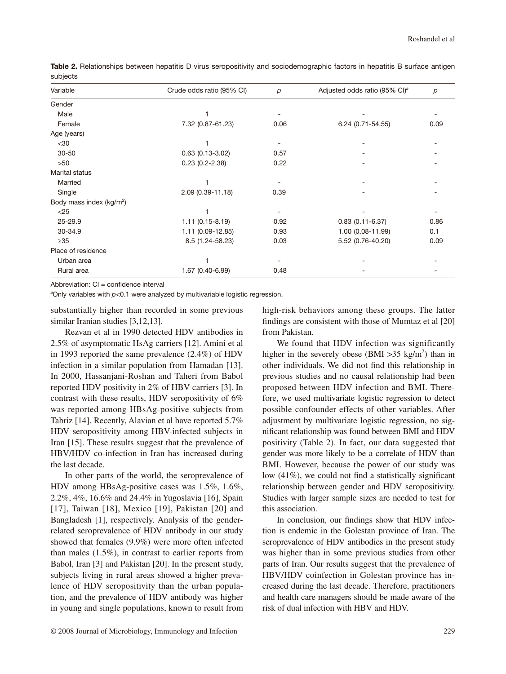| Variable                             | Crude odds ratio (95% CI) | $\boldsymbol{p}$ | Adjusted odds ratio (95% CI) <sup>a</sup> | p    |
|--------------------------------------|---------------------------|------------------|-------------------------------------------|------|
| Gender                               |                           |                  |                                           |      |
| Male                                 |                           |                  |                                           |      |
| Female                               | 7.32 (0.87-61.23)         | 0.06             | 6.24 (0.71-54.55)                         | 0.09 |
| Age (years)                          |                           |                  |                                           |      |
| $30$                                 |                           |                  |                                           |      |
| $30 - 50$                            | $0.63$ $(0.13 - 3.02)$    | 0.57             |                                           |      |
| >50                                  | $0.23(0.2 - 2.38)$        | 0.22             |                                           |      |
| Marital status                       |                           |                  |                                           |      |
| Married                              |                           |                  |                                           |      |
| Single                               | 2.09 (0.39-11.18)         | 0.39             |                                           |      |
| Body mass index (kg/m <sup>2</sup> ) |                           |                  |                                           |      |
| $<$ 25                               |                           |                  |                                           |      |
| 25-29.9                              | $1.11(0.15 - 8.19)$       | 0.92             | $0.83(0.11 - 6.37)$                       | 0.86 |
| 30-34.9                              | 1.11 (0.09-12.85)         | 0.93             | 1.00 (0.08-11.99)                         | 0.1  |
| $\geq 35$                            | 8.5 (1.24-58.23)          | 0.03             | 5.52 (0.76-40.20)                         | 0.09 |
| Place of residence                   |                           |                  |                                           |      |
| Urban area                           |                           |                  |                                           |      |
| Rural area                           | 1.67 (0.40-6.99)          | 0.48             |                                           |      |

Table 2. Relationships between hepatitis D virus seropositivity and sociodemographic factors in hepatitis B surface antigen subjects

Abbreviation: CI = confidence interval

*a* Only variables with *p*<0.1 were analyzed by multivariable logistic regression.

substantially higher than recorded in some previous similar Iranian studies [3,12,13].

Rezvan et al in 1990 detected HDV antibodies in 2.5% of asymptomatic HsAg carriers [12]. Amini et al in 1993 reported the same prevalence (2.4%) of HDV infection in a similar population from Hamadan [13]. In 2000, Hassanjani-Roshan and Taheri from Babol reported HDV positivity in 2% of HBV carriers [3]. In contrast with these results, HDV seropositivity of 6% was reported among HBsAg-positive subjects from Tabriz [14]. Recently, Alavian et al have reported 5.7% HDV seropositivity among HBV-infected subjects in Iran [15]. These results suggest that the prevalence of HBV/HDV co-infection in Iran has increased during the last decade.

In other parts of the world, the seroprevalence of HDV among HBsAg-positive cases was 1.5%, 1.6%, 2.2%, 4%, 16.6% and 24.4% in Yugoslavia [16], Spain [17], Taiwan [18], Mexico [19], Pakistan [20] and Bangladesh [1], respectively. Analysis of the genderrelated seroprevalence of HDV antibody in our study showed that females (9.9%) were more often infected than males (1.5%), in contrast to earlier reports from Babol, Iran [3] and Pakistan [20]. In the present study, subjects living in rural areas showed a higher prevalence of HDV seropositivity than the urban population, and the prevalence of HDV antibody was higher in young and single populations, known to result from high-risk behaviors among these groups. The latter findings are consistent with those of Mumtaz et al [20] from Pakistan.

We found that HDV infection was significantly higher in the severely obese (BMI  $>35$  kg/m<sup>2</sup>) than in other individuals. We did not find this relationship in previous studies and no causal relationship had been proposed between HDV infection and BMI. Therefore, we used multivariate logistic regression to detect possible confounder effects of other variables. After adjustment by multivariate logistic regression, no significant relationship was found between BMI and HDV positivity (Table 2). In fact, our data suggested that gender was more likely to be a correlate of HDV than BMI. However, because the power of our study was low (41%), we could not find a statistically significant relationship between gender and HDV seropositivity. Studies with larger sample sizes are needed to test for this association.

In conclusion, our findings show that HDV infection is endemic in the Golestan province of Iran. The seroprevalence of HDV antibodies in the present study was higher than in some previous studies from other parts of Iran. Our results suggest that the prevalence of HBV/HDV coinfection in Golestan province has increased during the last decade. Therefore, practitioners and health care managers should be made aware of the risk of dual infection with HBV and HDV.